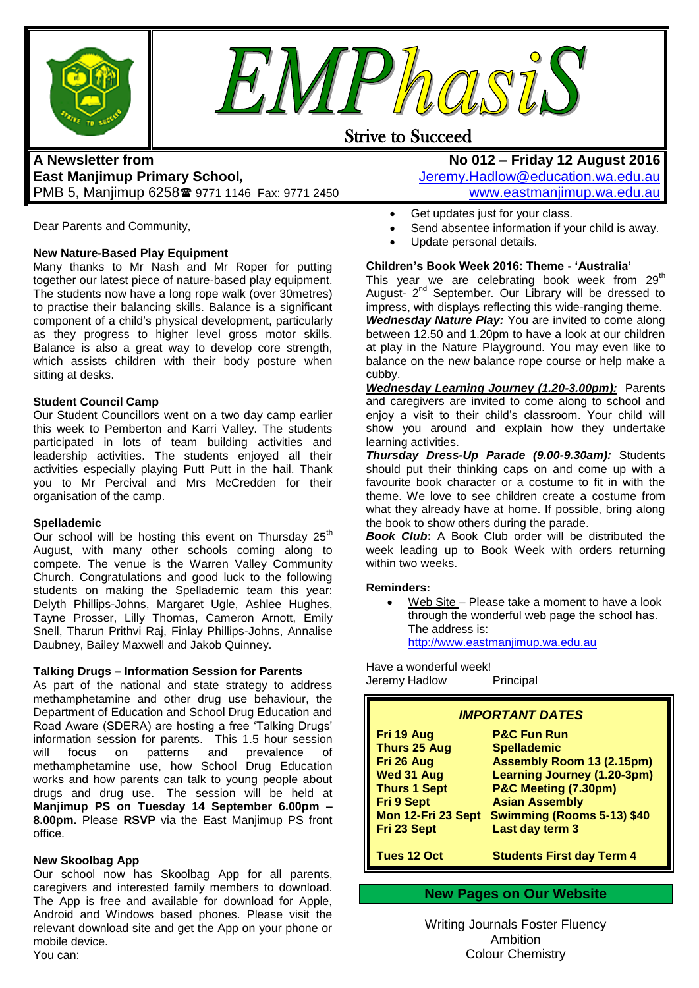



### Strive to Succeed

#### **A Newsletter from East Manjimup Primary School***,*  PMB 5, Manjimup 6258 9771 1146 Fax: 9771 2450

Dear Parents and Community,

#### **New Nature-Based Play Equipment**

Many thanks to Mr Nash and Mr Roper for putting together our latest piece of nature-based play equipment. The students now have a long rope walk (over 30metres) to practise their balancing skills. Balance is a significant component of a child"s physical development, particularly as they progress to higher level gross motor skills. Balance is also a great way to develop core strength, which assists children with their body posture when sitting at desks.

#### **Student Council Camp**

Our Student Councillors went on a two day camp earlier this week to Pemberton and Karri Valley. The students participated in lots of team building activities and leadership activities. The students enjoyed all their activities especially playing Putt Putt in the hail. Thank you to Mr Percival and Mrs McCredden for their organisation of the camp.

#### **Spellademic**

Our school will be hosting this event on Thursday  $25<sup>th</sup>$ August, with many other schools coming along to compete. The venue is the Warren Valley Community Church. Congratulations and good luck to the following students on making the Spellademic team this year: Delyth Phillips-Johns, Margaret Ugle, Ashlee Hughes, Tayne Prosser, Lilly Thomas, Cameron Arnott, Emily Snell, Tharun Prithvi Raj, Finlay Phillips-Johns, Annalise Daubney, Bailey Maxwell and Jakob Quinney.

#### **Talking Drugs – Information Session for Parents**

As part of the national and state strategy to address methamphetamine and other drug use behaviour, the Department of Education and School Drug Education and Road Aware (SDERA) are hosting a free "Talking Drugs" information session for parents. This 1.5 hour session will focus on patterns and prevalence of methamphetamine use, how School Drug Education works and how parents can talk to young people about drugs and drug use. The session will be held at **Manjimup PS on Tuesday 14 September 6.00pm – 8.00pm.** Please **RSVP** via the East Manjimup PS front office.

#### **New Skoolbag App**

Our school now has Skoolbag App for all parents, caregivers and interested family members to download. The App is free and available for download for Apple, Android and Windows based phones. Please visit the relevant download site and get the App on your phone or mobile device. You can:

**No 012 – Friday 12 August 2016** [Jeremy.Hadlow@education.wa.edu.au](mailto:Jeremy.Hadlow@education.wa.edu.au) [www.eastmanjimup.wa.edu.au](http://www.eastmanjimup.wa.edu.au/)

- Get updates just for your class.
- Send absentee information if your child is away.
- Update personal details.

#### **Children's Book Week 2016: Theme - 'Australia'**

This year we are celebrating book week from  $29<sup>th</sup>$ August- 2<sup>nd</sup> September. Our Library will be dressed to impress, with displays reflecting this wide-ranging theme. *Wednesday Nature Play:* You are invited to come along between 12.50 and 1.20pm to have a look at our children at play in the Nature Playground. You may even like to balance on the new balance rope course or help make a cubby.

*Wednesday Learning Journey (1.20-3.00pm):* Parents and caregivers are invited to come along to school and enjoy a visit to their child"s classroom. Your child will show you around and explain how they undertake learning activities.

*Thursday Dress-Up Parade (9.00-9.30am):* Students should put their thinking caps on and come up with a favourite book character or a costume to fit in with the theme. We love to see children create a costume from what they already have at home. If possible, bring along the book to show others during the parade.

**Book Club:** A Book Club order will be distributed the week leading up to Book Week with orders returning within two weeks.

#### **Reminders:**

 Web Site – Please take a moment to have a look through the wonderful web page the school has. The address is: [http://www.eastmanjimup.wa.edu.au](http://www.eastmanjimup.wa.edu.au/)

Have a wonderful week! Jeremy Hadlow Principal

| <b>IMPORTANT DATES</b> |                                    |  |  |  |
|------------------------|------------------------------------|--|--|--|
| Fri 19 Aug             | <b>P&amp;C Fun Run</b>             |  |  |  |
| <b>Thurs 25 Aug</b>    | <b>Spellademic</b>                 |  |  |  |
| Fri 26 Aug             | <b>Assembly Room 13 (2.15pm)</b>   |  |  |  |
| Wed 31 Aug             | <b>Learning Journey (1.20-3pm)</b> |  |  |  |
| <b>Thurs 1 Sept</b>    | P&C Meeting (7.30pm)               |  |  |  |
| <b>Fri 9 Sept</b>      | <b>Asian Assembly</b>              |  |  |  |
| Mon 12-Fri 23 Sept     | <b>Swimming (Rooms 5-13) \$40</b>  |  |  |  |
| Fri 23 Sept            | Last day term 3                    |  |  |  |
| <b>Tues 12 Oct</b>     | <b>Students First day Term 4</b>   |  |  |  |

**New Pages on Our Website**

Writing Journals Foster Fluency Ambition Colour Chemistry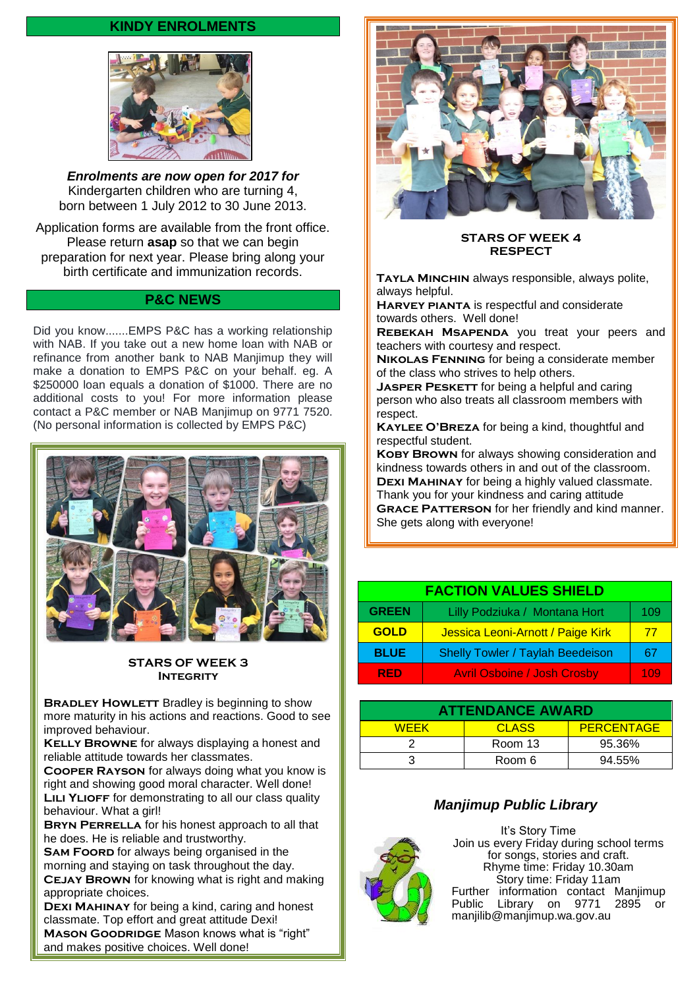#### **KINDY ENROLMENTS**



*Enrolments are now open for 2017 for*  Kindergarten children who are turning 4, born between 1 July 2012 to 30 June 2013.

Application forms are available from the front office. Please return **asap** so that we can begin preparation for next year. Please bring along your birth certificate and immunization records.

#### **P&C NEWS**

Did you know.......EMPS P&C has a working relationship with NAB. If you take out a new home loan with NAB or refinance from another bank to NAB Manjimup they will make a donation to EMPS P&C on your behalf. eg. A \$250000 loan equals a donation of \$1000. There are no additional costs to you! For more information please contact a P&C member or NAB Manjimup on 9771 7520. (No personal information is collected by EMPS P&C)



#### **STARS OF WEEK 3 INTEGRITY**

**BRADLEY HOWLETT** Bradley is beginning to show more maturity in his actions and reactions. Good to see improved behaviour.

**KELLY BROWNE** for always displaying a honest and reliable attitude towards her classmates.

**Cooper Rayson** for always doing what you know is right and showing good moral character. Well done! **LILI YLIOFF** for demonstrating to all our class quality behaviour. What a girl!

**BRYN PERRELLA** for his honest approach to all that he does. He is reliable and trustworthy.

**SAM FOORD** for always being organised in the morning and staying on task throughout the day. **CEJAY BROWN** for knowing what is right and making appropriate choices.

**Dexi Mahinay** for being a kind, caring and honest classmate. Top effort and great attitude Dexi! **MASON GOODRIDGE** Mason knows what is "right"

and makes positive choices. Well done!



**STARS OF WEEK 4 RESPECT**

**Tayla Minchin** always responsible, always polite, always helpful.

**Harvey pianta** is respectful and considerate towards others. Well done!

**Rebekah Msapenda** you treat your peers and teachers with courtesy and respect.

**Nikolas Fenning** for being a considerate member of the class who strives to help others.

**JASPER PESKETT** for being a helpful and caring person who also treats all classroom members with respect.

**Kaylee O'Breza** for being a kind, thoughtful and respectful student.

**KOBY BROWN** for always showing consideration and kindness towards others in and out of the classroom. **Dexi Mahinay** for being a highly valued classmate. Thank you for your kindness and caring attitude **GRACE PATTERSON** for her friendly and kind manner. She gets along with everyone!

| <b>FACTION VALUES SHIELD</b> |                                         |     |  |
|------------------------------|-----------------------------------------|-----|--|
| <b>GREEN</b>                 | Lilly Podziuka / Montana Hort           | 109 |  |
| <b>GOLD</b>                  | Jessica Leoni-Arnott / Paige Kirk       | 77  |  |
| <b>BLUE</b>                  | <b>Shelly Towler / Taylah Beedeison</b> | 67  |  |
| <b>RED</b>                   | <b>Avril Osboine / Josh Crosby</b>      | 109 |  |

| <b>ATTENDANCE AWARD</b> |         |                   |  |  |
|-------------------------|---------|-------------------|--|--|
| <b>WEEK</b>             | CLASS   | <b>PERCENTAGE</b> |  |  |
|                         | Room 13 | 95.36%            |  |  |
|                         | Room 6  | 94.55%            |  |  |

#### *Manjimup Public Library*



It's Story Time Join us every Friday during school terms for songs, stories and craft. Rhyme time: Friday 10.30am Story time: Friday 11am Further information contact Manjimup Public Library on 9771 2895 or [manjilib@manjimup.wa.gov.au](mailto:manjilib@manjimup.wa.gov.au)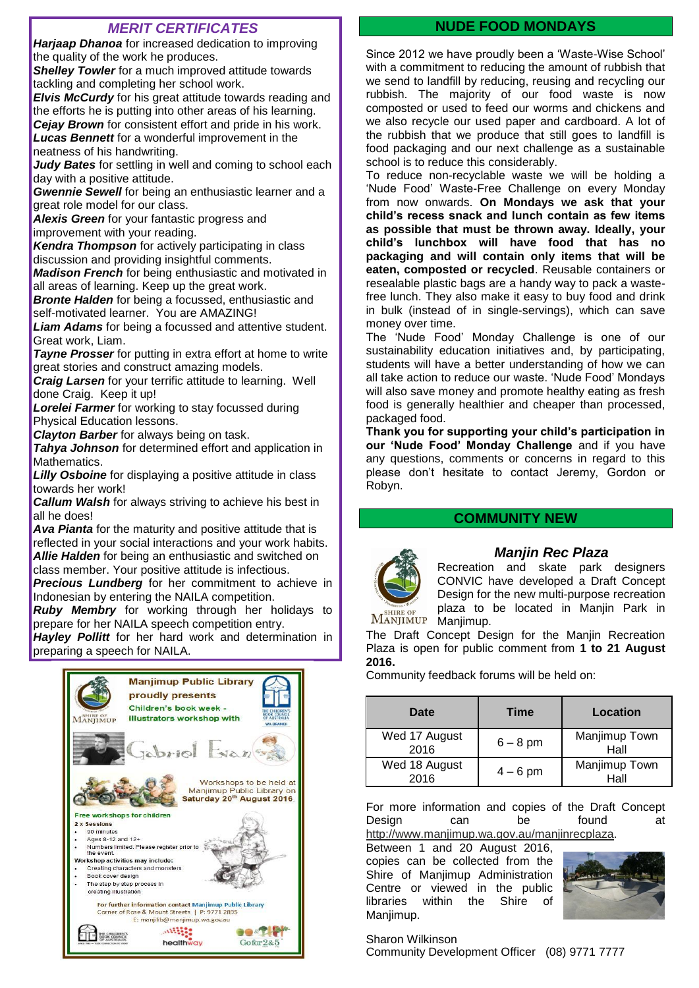#### *MERIT CERTIFICATES*

*Harjaap Dhanoa* for increased dedication to improving the quality of the work he produces. **Shelley Towler** for a much improved attitude towards

tackling and completing her school work.

*Elvis McCurdv* for his great attitude towards reading and the efforts he is putting into other areas of his learning. *Cejay Brown* for consistent effort and pride in his work. *Lucas Bennett* for a wonderful improvement in the neatness of his handwriting.

*Judy Bates* for settling in well and coming to school each day with a positive attitude.

*Gwennie Sewell* for being an enthusiastic learner and a great role model for our class.

*Alexis Green* for your fantastic progress and improvement with your reading.

*Kendra Thompson* for actively participating in class discussion and providing insightful comments.

*Madison French* for being enthusiastic and motivated in all areas of learning. Keep up the great work.

*Bronte Halden* for being a focussed, enthusiastic and self-motivated learner. You are AMAZING!

*Liam Adams* for being a focussed and attentive student. Great work, Liam.

*Tayne Prosser* for putting in extra effort at home to write great stories and construct amazing models.

*Craig Larsen* for your terrific attitude to learning. Well done Craig. Keep it up!

*Lorelei Farmer* for working to stay focussed during Physical Education lessons.

*Clayton Barber* for always being on task.

*Tahya Johnson* for determined effort and application in Mathematics.

*Lilly Osboine* for displaying a positive attitude in class towards her work!

*Callum Walsh* for always striving to achieve his best in all he does!

*Ava Pianta* for the maturity and positive attitude that is reflected in your social interactions and your work habits. *Allie Halden* for being an enthusiastic and switched on class member. Your positive attitude is infectious.

**Precious Lundberg** for her commitment to achieve in Indonesian by entering the NAILA competition.

*Ruby Membry* for working through her holidays to prepare for her NAILA speech competition entry.

*Hayley Pollitt* for her hard work and determination in preparing a speech for NAILA.



#### **NUDE FOOD MONDAYS**

Since 2012 we have proudly been a "Waste-Wise School" with a commitment to reducing the amount of rubbish that we send to landfill by reducing, reusing and recycling our rubbish. The majority of our food waste is now composted or used to feed our worms and chickens and we also recycle our used paper and cardboard. A lot of the rubbish that we produce that still goes to landfill is food packaging and our next challenge as a sustainable school is to reduce this considerably.

To reduce non-recyclable waste we will be holding a "Nude Food" Waste-Free Challenge on every Monday from now onwards. **On Mondays we ask that your child's recess snack and lunch contain as few items as possible that must be thrown away. Ideally, your child's lunchbox will have food that has no packaging and will contain only items that will be eaten, composted or recycled**. Reusable containers or resealable plastic bags are a handy way to pack a wastefree lunch. They also make it easy to buy food and drink in bulk (instead of in single-servings), which can save money over time.

The "Nude Food" Monday Challenge is one of our sustainability education initiatives and, by participating, students will have a better understanding of how we can all take action to reduce our waste. "Nude Food" Mondays will also save money and promote healthy eating as fresh food is generally healthier and cheaper than processed, packaged food.

**Thank you for supporting your child's participation in our 'Nude Food' Monday Challenge** and if you have any questions, comments or concerns in regard to this please don"t hesitate to contact Jeremy, Gordon or Robyn.

#### **COMMUNITY NEW**



#### *Manjin Rec Plaza*

Recreation and skate park designers CONVIC have developed a Draft Concept Design for the new multi-purpose recreation plaza to be located in Manjin Park in Manjimup.

The Draft Concept Design for the Manjin Recreation Plaza is open for public comment from **1 to 21 August 2016.**

Community feedback forums will be held on:

| Date                  | Time       | Location              |
|-----------------------|------------|-----------------------|
| Wed 17 August<br>2016 | $6 - 8$ pm | Manjimup Town<br>Hall |
| Wed 18 August<br>2016 | $4 - 6$ pm | Manjimup Town<br>Hall |

For more information and copies of the Draft Concept Design can be found at [http://www.manjimup.wa.gov.au/manjinrecplaza.](http://cp.mcafee.com/d/2DRPoQcCQm1RXIICzBNUSrhhhuvd7ar1EVd79J555VYQsFLI8CPpITW3tJDaIecrTEdZHpJB7Q1l_n7NnQb46n4nNnTTNMGMCeIaWO-UaITpvIMyyqennS3pISrdw0Btw8OlrmUNL4qCuRL5tw8Ox7Xb7WaqrdETjodCXCQPrNKVJUSyrh)

Between 1 and 20 August 2016,

copies can be collected from the Shire of Manjimup Administration Centre or viewed in the public libraries within the Shire of Manjimup.



Sharon Wilkinson

Community Development Officer (08) 9771 7777